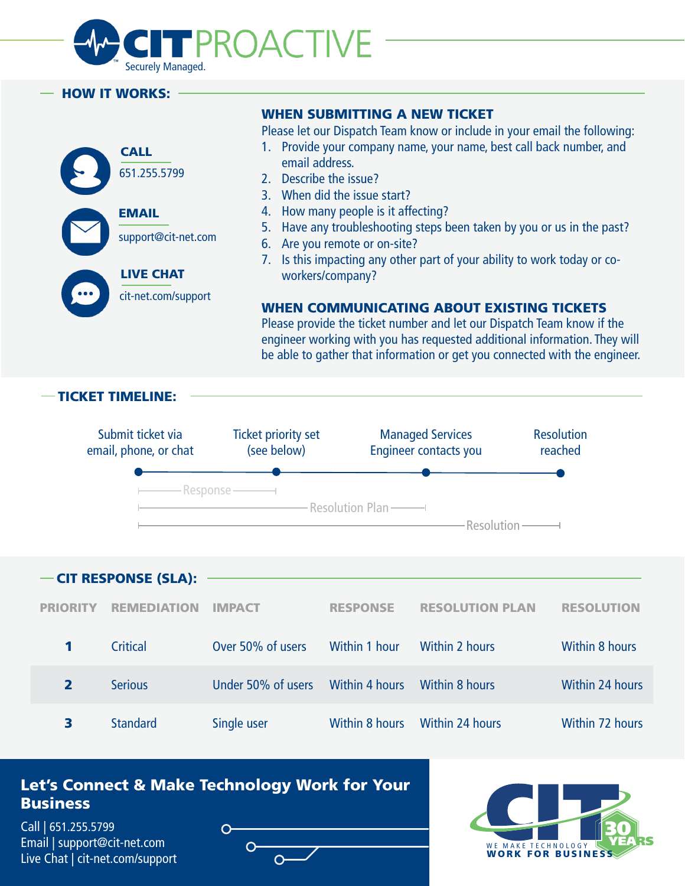

#### HOW IT WORKS:



### WHEN SUBMITTING A NEW TICKET

Please let our Dispatch Team know or include in your email the following:

- 1. Provide your company name, your name, best call back number, and email address.
- 2. Describe the issue?
- 3. When did the issue start?
- 4. How many people is it affecting?
- 5. Have any troubleshooting steps been taken by you or us in the past?
- 6. Are you remote or on-site?
- 7. Is this impacting any other part of your ability to work today or coworkers/company?

### WHEN COMMUNICATING ABOUT EXISTING TICKETS

Please provide the ticket number and let our Dispatch Team know if the engineer working with you has requested additional information. They will be able to gather that information or get you connected with the engineer.



3 Standard Single user Within 8 hours Within 24 hours Within 72 hours

## Let's Connect & Make Technology Work for Your **Business**

[Call | 651.255.5799](tel:6512555799) [Email | support@cit-net.com](mailto:support@cit-net.com) [Live Chat | cit-net.com/support](https://www.cit-net.com/support)

 $\Omega$